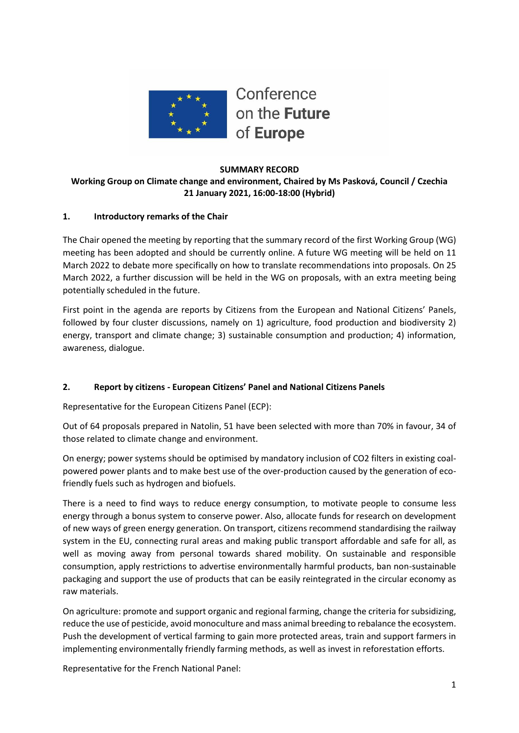

## **SUMMARY RECORD Working Group on Climate change and environment, Chaired by Ms Pasková, Council / Czechia 21 January 2021, 16:00-18:00 (Hybrid)**

# **1. Introductory remarks of the Chair**

The Chair opened the meeting by reporting that the summary record of the first Working Group (WG) meeting has been adopted and should be currently online. A future WG meeting will be held on 11 March 2022 to debate more specifically on how to translate recommendations into proposals. On 25 March 2022, a further discussion will be held in the WG on proposals, with an extra meeting being potentially scheduled in the future.

First point in the agenda are reports by Citizens from the European and National Citizens' Panels, followed by four cluster discussions, namely on 1) agriculture, food production and biodiversity 2) energy, transport and climate change; 3) sustainable consumption and production; 4) information, awareness, dialogue.

## **2. Report by citizens - European Citizens' Panel and National Citizens Panels**

Representative for the European Citizens Panel (ECP):

Out of 64 proposals prepared in Natolin, 51 have been selected with more than 70% in favour, 34 of those related to climate change and environment.

On energy; power systems should be optimised by mandatory inclusion of CO2 filters in existing coalpowered power plants and to make best use of the over-production caused by the generation of ecofriendly fuels such as hydrogen and biofuels.

There is a need to find ways to reduce energy consumption, to motivate people to consume less energy through a bonus system to conserve power. Also, allocate funds for research on development of new ways of green energy generation. On transport, citizens recommend standardising the railway system in the EU, connecting rural areas and making public transport affordable and safe for all, as well as moving away from personal towards shared mobility. On sustainable and responsible consumption, apply restrictions to advertise environmentally harmful products, ban non-sustainable packaging and support the use of products that can be easily reintegrated in the circular economy as raw materials.

On agriculture: promote and support organic and regional farming, change the criteria for subsidizing, reduce the use of pesticide, avoid monoculture and mass animal breeding to rebalance the ecosystem. Push the development of vertical farming to gain more protected areas, train and support farmers in implementing environmentally friendly farming methods, as well as invest in reforestation efforts.

Representative for the French National Panel: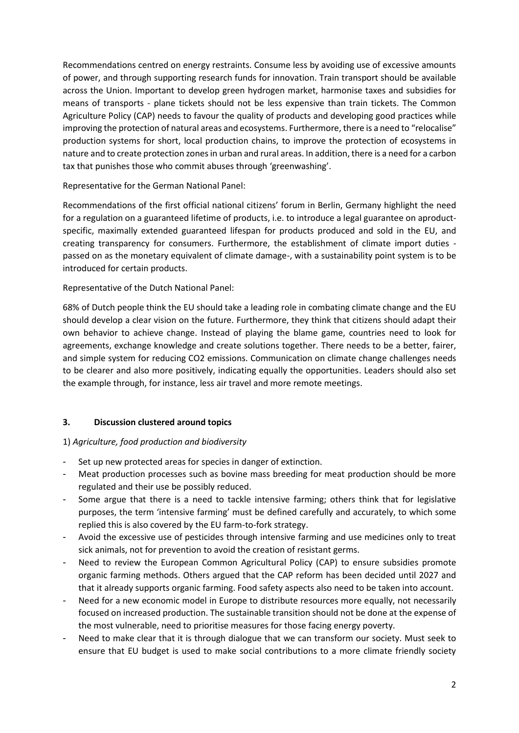Recommendations centred on energy restraints. Consume less by avoiding use of excessive amounts of power, and through supporting research funds for innovation. Train transport should be available across the Union. Important to develop green hydrogen market, harmonise taxes and subsidies for means of transports - plane tickets should not be less expensive than train tickets. The Common Agriculture Policy (CAP) needs to favour the quality of products and developing good practices while improving the protection of natural areas and ecosystems. Furthermore, there is a need to "relocalise" production systems for short, local production chains, to improve the protection of ecosystems in nature and to create protection zones in urban and rural areas. In addition, there is a need for a carbon tax that punishes those who commit abuses through 'greenwashing'.

Representative for the German National Panel:

Recommendations of the first official national citizens' forum in Berlin, Germany highlight the need for a regulation on a guaranteed lifetime of products, i.e. to introduce a legal guarantee on aproductspecific, maximally extended guaranteed lifespan for products produced and sold in the EU, and creating transparency for consumers. Furthermore, the establishment of climate import duties passed on as the monetary equivalent of climate damage-, with a sustainability point system is to be introduced for certain products.

# Representative of the Dutch National Panel:

68% of Dutch people think the EU should take a leading role in combating climate change and the EU should develop a clear vision on the future. Furthermore, they think that citizens should adapt their own behavior to achieve change. Instead of playing the blame game, countries need to look for agreements, exchange knowledge and create solutions together. There needs to be a better, fairer, and simple system for reducing CO2 emissions. Communication on climate change challenges needs to be clearer and also more positively, indicating equally the opportunities. Leaders should also set the example through, for instance, less air travel and more remote meetings.

## **3. Discussion clustered around topics**

## 1) *Agriculture, food production and biodiversity*

- Set up new protected areas for species in danger of extinction.
- Meat production processes such as bovine mass breeding for meat production should be more regulated and their use be possibly reduced.
- Some argue that there is a need to tackle intensive farming; others think that for legislative purposes, the term 'intensive farming' must be defined carefully and accurately, to which some replied this is also covered by the EU farm-to-fork strategy.
- Avoid the excessive use of pesticides through intensive farming and use medicines only to treat sick animals, not for prevention to avoid the creation of resistant germs.
- Need to review the European Common Agricultural Policy (CAP) to ensure subsidies promote organic farming methods. Others argued that the CAP reform has been decided until 2027 and that it already supports organic farming. Food safety aspects also need to be taken into account.
- Need for a new economic model in Europe to distribute resources more equally, not necessarily focused on increased production. The sustainable transition should not be done at the expense of the most vulnerable, need to prioritise measures for those facing energy poverty.
- Need to make clear that it is through dialogue that we can transform our society. Must seek to ensure that EU budget is used to make social contributions to a more climate friendly society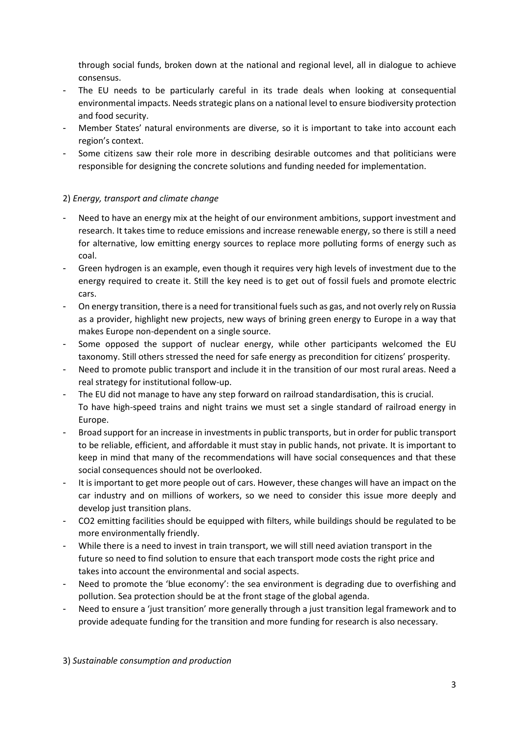through social funds, broken down at the national and regional level, all in dialogue to achieve consensus.

- The EU needs to be particularly careful in its trade deals when looking at consequential environmental impacts. Needs strategic plans on a national level to ensure biodiversity protection and food security.
- Member States' natural environments are diverse, so it is important to take into account each region's context.
- Some citizens saw their role more in describing desirable outcomes and that politicians were responsible for designing the concrete solutions and funding needed for implementation.

## 2) *Energy, transport and climate change*

- Need to have an energy mix at the height of our environment ambitions, support investment and research. It takes time to reduce emissions and increase renewable energy, so there is still a need for alternative, low emitting energy sources to replace more polluting forms of energy such as coal.
- Green hydrogen is an example, even though it requires very high levels of investment due to the energy required to create it. Still the key need is to get out of fossil fuels and promote electric cars.
- On energy transition, there is a need for transitional fuels such as gas, and not overly rely on Russia as a provider, highlight new projects, new ways of brining green energy to Europe in a way that makes Europe non-dependent on a single source.
- Some opposed the support of nuclear energy, while other participants welcomed the EU taxonomy. Still others stressed the need for safe energy as precondition for citizens' prosperity.
- Need to promote public transport and include it in the transition of our most rural areas. Need a real strategy for institutional follow-up.
- The EU did not manage to have any step forward on railroad standardisation, this is crucial. To have high-speed trains and night trains we must set a single standard of railroad energy in Europe.
- Broad support for an increase in investments in public transports, but in order for public transport to be reliable, efficient, and affordable it must stay in public hands, not private. It is important to keep in mind that many of the recommendations will have social consequences and that these social consequences should not be overlooked.
- It is important to get more people out of cars. However, these changes will have an impact on the car industry and on millions of workers, so we need to consider this issue more deeply and develop just transition plans.
- CO2 emitting facilities should be equipped with filters, while buildings should be regulated to be more environmentally friendly.
- While there is a need to invest in train transport, we will still need aviation transport in the future so need to find solution to ensure that each transport mode costs the right price and takes into account the environmental and social aspects.
- Need to promote the 'blue economy': the sea environment is degrading due to overfishing and pollution. Sea protection should be at the front stage of the global agenda.
- Need to ensure a 'just transition' more generally through a just transition legal framework and to provide adequate funding for the transition and more funding for research is also necessary.

3) *Sustainable consumption and production*